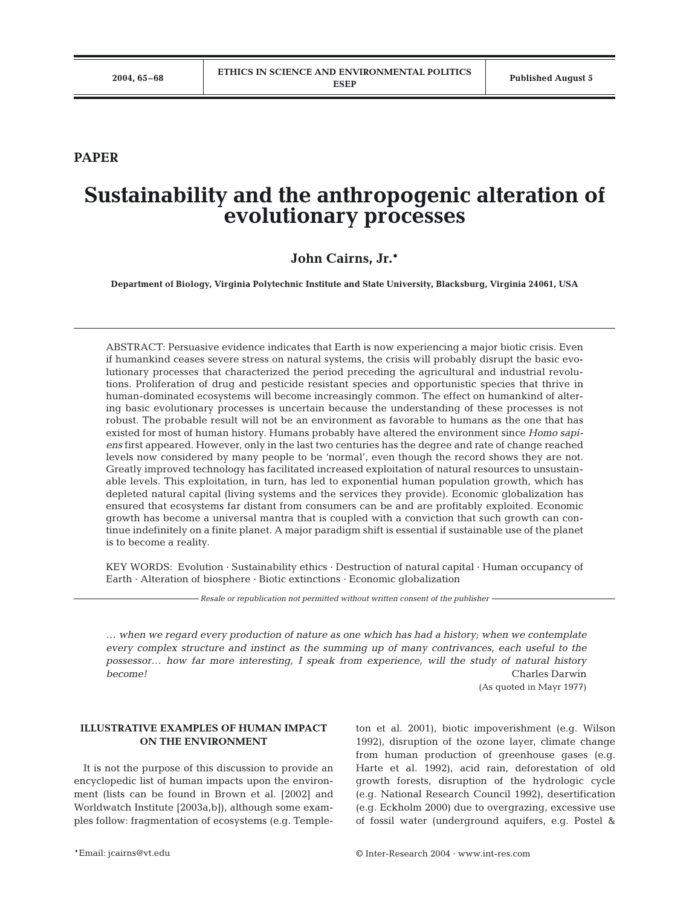## **PAPER**

# **Sustainability and the anthropogenic alteration of evolutionary processes**

## **John Cairns, Jr.\***

**Department of Biology, Virginia Polytechnic Institute and State University, Blacksburg, Virginia 24061, USA**

ABSTRACT: Persuasive evidence indicates that Earth is now experiencing a major biotic crisis. Even if humankind ceases severe stress on natural systems, the crisis will probably disrupt the basic evolutionary processes that characterized the period preceding the agricultural and industrial revolutions. Proliferation of drug and pesticide resistant species and opportunistic species that thrive in human-dominated ecosystems will become increasingly common. The effect on humankind of altering basic evolutionary processes is uncertain because the understanding of these processes is not robust. The probable result will not be an environment as favorable to humans as the one that has existed for most of human history. Humans probably have altered the environment since *Homo sapiens* first appeared. However, only in the last two centuries has the degree and rate of change reached levels now considered by many people to be 'normal', even though the record shows they are not. Greatly improved technology has facilitated increased exploitation of natural resources to unsustainable levels. This exploitation, in turn, has led to exponential human population growth, which has depleted natural capital (living systems and the services they provide). Economic globalization has ensured that ecosystems far distant from consumers can be and are profitably exploited. Economic growth has become a universal mantra that is coupled with a conviction that such growth can continue indefinitely on a finite planet. A major paradigm shift is essential if sustainable use of the planet is to become a reality.

KEY WORDS: Evolution · Sustainability ethics · Destruction of natural capital · Human occupancy of Earth · Alteration of biosphere · Biotic extinctions · Economic globalization

*Resale or republication not permitted without written consent of the publisher*

*… when we regard every production of nature as one which has had a history; when we contemplate every complex structure and instinct as the summing up of many contrivances, each useful to the possessor… how far more interesting, I speak from experience, will the study of natural history become!* Charles Darwin

(As quoted in Mayr 1977)

## **ILLUSTRATIVE EXAMPLES OF HUMAN IMPACT ON THE ENVIRONMENT**

It is not the purpose of this discussion to provide an encyclopedic list of human impacts upon the environment (lists can be found in Brown et al. [2002] and Worldwatch Institute [2003a,b]), although some examples follow: fragmentation of ecosystems (e.g. Templeton et al. 2001), biotic impoverishment (e.g. Wilson 1992), disruption of the ozone layer, climate change from human production of greenhouse gases (e.g. Harte et al. 1992), acid rain, deforestation of old growth forests, disruption of the hydrologic cycle (e.g. National Research Council 1992), desertification (e.g. Eckholm 2000) due to overgrazing, excessive use of fossil water (underground aquifers, e.g. Postel &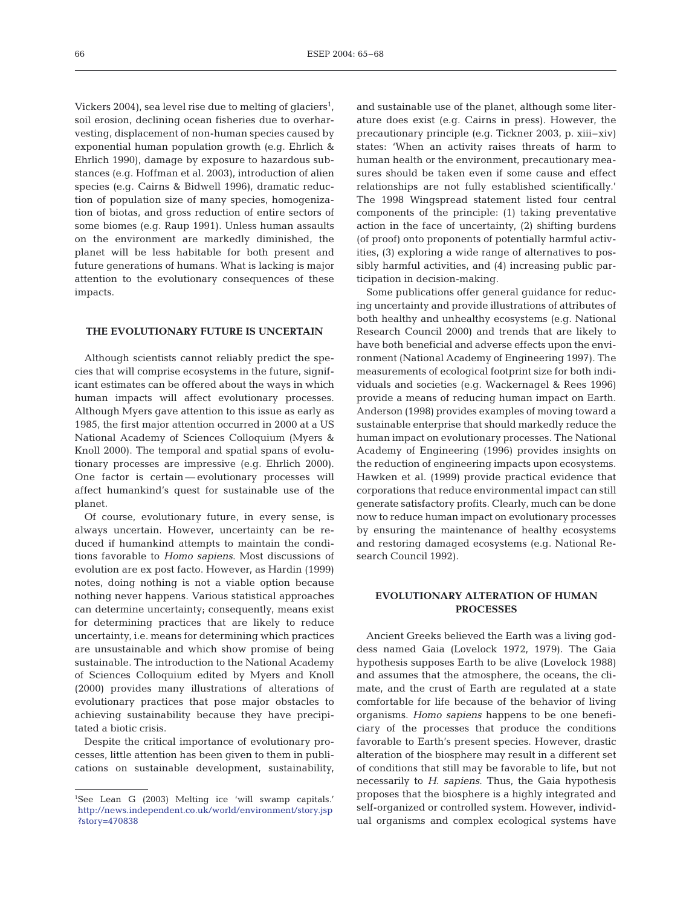Vickers 2004), sea level rise due to melting of glaciers<sup>1</sup>, soil erosion, declining ocean fisheries due to overharvesting, displacement of non-human species caused by exponential human population growth (e.g. Ehrlich & Ehrlich 1990), damage by exposure to hazardous substances (e.g. Hoffman et al. 2003), introduction of alien species (e.g. Cairns & Bidwell 1996), dramatic reduction of population size of many species, homogenization of biotas, and gross reduction of entire sectors of some biomes (e.g. Raup 1991). Unless human assaults on the environment are markedly diminished, the planet will be less habitable for both present and future generations of humans. What is lacking is major attention to the evolutionary consequences of these impacts.

#### **THE EVOLUTIONARY FUTURE IS UNCERTAIN**

Although scientists cannot reliably predict the species that will comprise ecosystems in the future, significant estimates can be offered about the ways in which human impacts will affect evolutionary processes. Although Myers gave attention to this issue as early as 1985, the first major attention occurred in 2000 at a US National Academy of Sciences Colloquium (Myers & Knoll 2000). The temporal and spatial spans of evolutionary processes are impressive (e.g. Ehrlich 2000). One factor is certain — evolutionary processes will affect humankind's quest for sustainable use of the planet.

Of course, evolutionary future, in every sense, is always uncertain. However, uncertainty can be reduced if humankind attempts to maintain the conditions favorable to *Homo sapiens*. Most discussions of evolution are ex post facto. However, as Hardin (1999) notes, doing nothing is not a viable option because nothing never happens. Various statistical approaches can determine uncertainty; consequently, means exist for determining practices that are likely to reduce uncertainty, i.e. means for determining which practices are unsustainable and which show promise of being sustainable. The introduction to the National Academy of Sciences Colloquium edited by Myers and Knoll (2000) provides many illustrations of alterations of evolutionary practices that pose major obstacles to achieving sustainability because they have precipitated a biotic crisis.

Despite the critical importance of evolutionary processes, little attention has been given to them in publications on sustainable development, sustainability,

and sustainable use of the planet, although some literature does exist (e.g. Cairns in press). However, the precautionary principle (e.g. Tickner 2003, p. xiii–xiv) states: 'When an activity raises threats of harm to human health or the environment, precautionary measures should be taken even if some cause and effect relationships are not fully established scientifically.' The 1998 Wingspread statement listed four central components of the principle: (1) taking preventative action in the face of uncertainty, (2) shifting burdens (of proof) onto proponents of potentially harmful activities, (3) exploring a wide range of alternatives to possibly harmful activities, and (4) increasing public participation in decision-making.

Some publications offer general guidance for reducing uncertainty and provide illustrations of attributes of both healthy and unhealthy ecosystems (e.g. National Research Council 2000) and trends that are likely to have both beneficial and adverse effects upon the environment (National Academy of Engineering 1997). The measurements of ecological footprint size for both individuals and societies (e.g. Wackernagel & Rees 1996) provide a means of reducing human impact on Earth. Anderson (1998) provides examples of moving toward a sustainable enterprise that should markedly reduce the human impact on evolutionary processes. The National Academy of Engineering (1996) provides insights on the reduction of engineering impacts upon ecosystems. Hawken et al. (1999) provide practical evidence that corporations that reduce environmental impact can still generate satisfactory profits. Clearly, much can be done now to reduce human impact on evolutionary processes by ensuring the maintenance of healthy ecosystems and restoring damaged ecosystems (e.g. National Research Council 1992).

## **EVOLUTIONARY ALTERATION OF HUMAN PROCESSES**

Ancient Greeks believed the Earth was a living goddess named Gaia (Lovelock 1972, 1979). The Gaia hypothesis supposes Earth to be alive (Lovelock 1988) and assumes that the atmosphere, the oceans, the climate, and the crust of Earth are regulated at a state comfortable for life because of the behavior of living organisms. *Homo sapiens* happens to be one beneficiary of the processes that produce the conditions favorable to Earth's present species. However, drastic alteration of the biosphere may result in a different set of conditions that still may be favorable to life, but not necessarily to *H. sapiens*. Thus, the Gaia hypothesis proposes that the biosphere is a highly integrated and self-organized or controlled system. However, individual organisms and complex ecological systems have

<sup>1</sup> See Lean G (2003) Melting ice 'will swamp capitals.' [http://news.independent.co.uk/world/environment/story.jsp](http://news.independent.co.uk/world/environment/story.jsp?story=470838) ?story=470838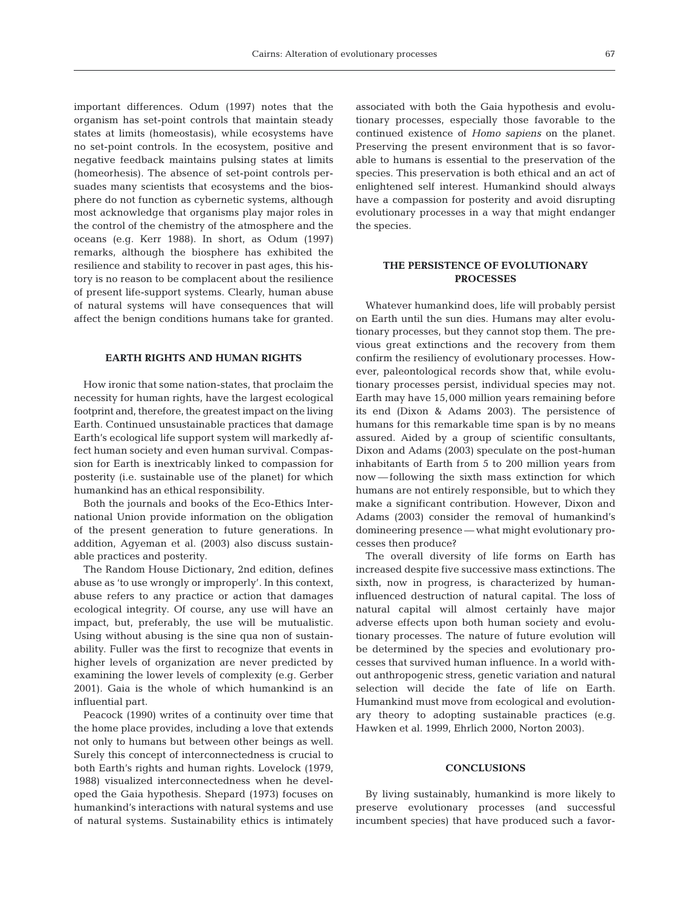important differences. Odum (1997) notes that the organism has set-point controls that maintain steady states at limits (homeostasis), while ecosystems have no set-point controls. In the ecosystem, positive and negative feedback maintains pulsing states at limits (homeorhesis). The absence of set-point controls persuades many scientists that ecosystems and the biosphere do not function as cybernetic systems, although most acknowledge that organisms play major roles in the control of the chemistry of the atmosphere and the oceans (e.g. Kerr 1988). In short, as Odum (1997) remarks, although the biosphere has exhibited the resilience and stability to recover in past ages, this history is no reason to be complacent about the resilience of present life-support systems. Clearly, human abuse of natural systems will have consequences that will affect the benign conditions humans take for granted.

#### **EARTH RIGHTS AND HUMAN RIGHTS**

How ironic that some nation-states, that proclaim the necessity for human rights, have the largest ecological footprint and, therefore, the greatest impact on the living Earth. Continued unsustainable practices that damage Earth's ecological life support system will markedly affect human society and even human survival. Compassion for Earth is inextricably linked to compassion for posterity (i.e. sustainable use of the planet) for which humankind has an ethical responsibility.

Both the journals and books of the Eco-Ethics International Union provide information on the obligation of the present generation to future generations. In addition, Agyeman et al. (2003) also discuss sustainable practices and posterity.

The Random House Dictionary, 2nd edition, defines abuse as 'to use wrongly or improperly'. In this context, abuse refers to any practice or action that damages ecological integrity. Of course, any use will have an impact, but, preferably, the use will be mutualistic. Using without abusing is the sine qua non of sustainability. Fuller was the first to recognize that events in higher levels of organization are never predicted by examining the lower levels of complexity (e.g. Gerber 2001). Gaia is the whole of which humankind is an influential part.

Peacock (1990) writes of a continuity over time that the home place provides, including a love that extends not only to humans but between other beings as well. Surely this concept of interconnectedness is crucial to both Earth's rights and human rights. Lovelock (1979, 1988) visualized interconnectedness when he developed the Gaia hypothesis. Shepard (1973) focuses on humankind's interactions with natural systems and use of natural systems. Sustainability ethics is intimately associated with both the Gaia hypothesis and evolutionary processes, especially those favorable to the continued existence of *Homo sapiens* on the planet. Preserving the present environment that is so favorable to humans is essential to the preservation of the species. This preservation is both ethical and an act of enlightened self interest. Humankind should always have a compassion for posterity and avoid disrupting evolutionary processes in a way that might endanger the species.

#### **THE PERSISTENCE OF EVOLUTIONARY PROCESSES**

Whatever humankind does, life will probably persist on Earth until the sun dies. Humans may alter evolutionary processes, but they cannot stop them. The previous great extinctions and the recovery from them confirm the resiliency of evolutionary processes. However, paleontological records show that, while evolutionary processes persist, individual species may not. Earth may have 15,000 million years remaining before its end (Dixon & Adams 2003). The persistence of humans for this remarkable time span is by no means assured. Aided by a group of scientific consultants, Dixon and Adams (2003) speculate on the post-human inhabitants of Earth from 5 to 200 million years from now — following the sixth mass extinction for which humans are not entirely responsible, but to which they make a significant contribution. However, Dixon and Adams (2003) consider the removal of humankind's domineering presence — what might evolutionary processes then produce?

The overall diversity of life forms on Earth has increased despite five successive mass extinctions. The sixth, now in progress, is characterized by humaninfluenced destruction of natural capital. The loss of natural capital will almost certainly have major adverse effects upon both human society and evolutionary processes. The nature of future evolution will be determined by the species and evolutionary processes that survived human influence. In a world without anthropogenic stress, genetic variation and natural selection will decide the fate of life on Earth. Humankind must move from ecological and evolutionary theory to adopting sustainable practices (e.g. Hawken et al. 1999, Ehrlich 2000, Norton 2003).

### **CONCLUSIONS**

By living sustainably, humankind is more likely to preserve evolutionary processes (and successful incumbent species) that have produced such a favor